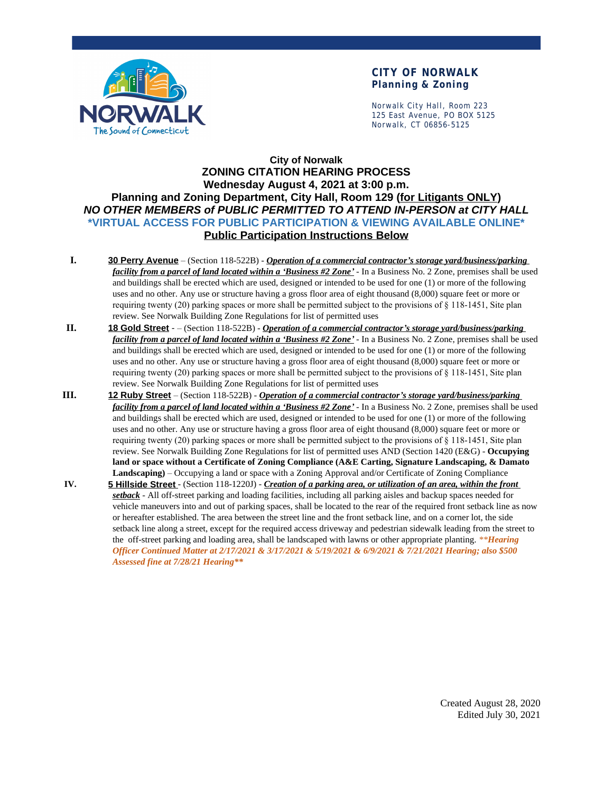

## **CITY OF NORWALK Planning & Zoning**

Norwalk City Hall, Room 223 125 East Avenue, PO BOX 5125 Norwalk, CT 06856-5125

## **City of Norwalk ZONING CITATION HEARING PROCESS Wednesday August 4, 2021 at 3:00 p.m. Planning and Zoning Department, City Hall, Room 129 (for Litigants ONLY)** *NO OTHER MEMBERS of PUBLIC PERMITTED TO ATTEND IN-PERSON at CITY HALL* **\*VIRTUAL ACCESS FOR PUBLIC PARTICIPATION & VIEWING AVAILABLE ONLINE\* Public Participation Instructions Below**

- **I. 30 Perry Avenue** (Section 118-522B) *Operation of a commercial contractor's storage yard/business/parking facility from a parcel of land located within a 'Business #2 Zone'* - In a Business No. 2 Zone, premises shall be used and buildings shall be erected which are used, designed or intended to be used for one (1) or more of the following uses and no other. Any use or structure having a gross floor area of eight thousand (8,000) square feet or more or requiring twenty (20) parking spaces or more shall be permitted subject to the provisions of § 118-1451, Site plan review. See Norwalk Building Zone Regulations for list of permitted uses
- **II. 18 Gold Street** – (Section 118-522B) *Operation of a commercial contractor's storage yard/business/parking facility from a parcel of land located within a 'Business #2 Zone'* - In a Business No. 2 Zone, premises shall be used and buildings shall be erected which are used, designed or intended to be used for one (1) or more of the following uses and no other. Any use or structure having a gross floor area of eight thousand (8,000) square feet or more or requiring twenty (20) parking spaces or more shall be permitted subject to the provisions of § 118-1451, Site plan review. See Norwalk Building Zone Regulations for list of permitted uses
- **III. 12 Ruby Street** (Section 118-522B) *Operation of a commercial contractor's storage yard/business/parking facility from a parcel of land located within a 'Business #2 Zone'* - In a Business No. 2 Zone, premises shall be used and buildings shall be erected which are used, designed or intended to be used for one (1) or more of the following uses and no other. Any use or structure having a gross floor area of eight thousand (8,000) square feet or more or requiring twenty (20) parking spaces or more shall be permitted subject to the provisions of § 118-1451, Site plan review. See Norwalk Building Zone Regulations for list of permitted uses AND (Section 1420 (E&G) - **Occupying land or space without a Certificate of Zoning Compliance (A&E Carting, Signature Landscaping, & Damato Landscaping)** – Occupying a land or space with a Zoning Approval and/or Certificate of Zoning Compliance
- **IV. 5 Hillside Street** (Section 118-1220J) *Creation of a parking area, or utilization of an area, within the front setback* - All off-street parking and loading facilities, including all parking aisles and backup spaces needed for vehicle maneuvers into and out of parking spaces, shall be located to the rear of the required front setback line as now or hereafter established. The area between the street line and the front setback line, and on a corner lot, the side setback line along a street, except for the required access driveway and pedestrian sidewalk leading from the street to the off-street parking and loading area, shall be landscaped with lawns or other appropriate planting. *\*\*Hearing Officer Continued Matter at 2/17/2021 & 3/17/2021 & 5/19/2021 & 6/9/2021 & 7/21/2021 Hearing; also \$500 Assessed fine at 7/28/21 Hearing\*\**

Created August 28, 2020 Edited July 30, 2021